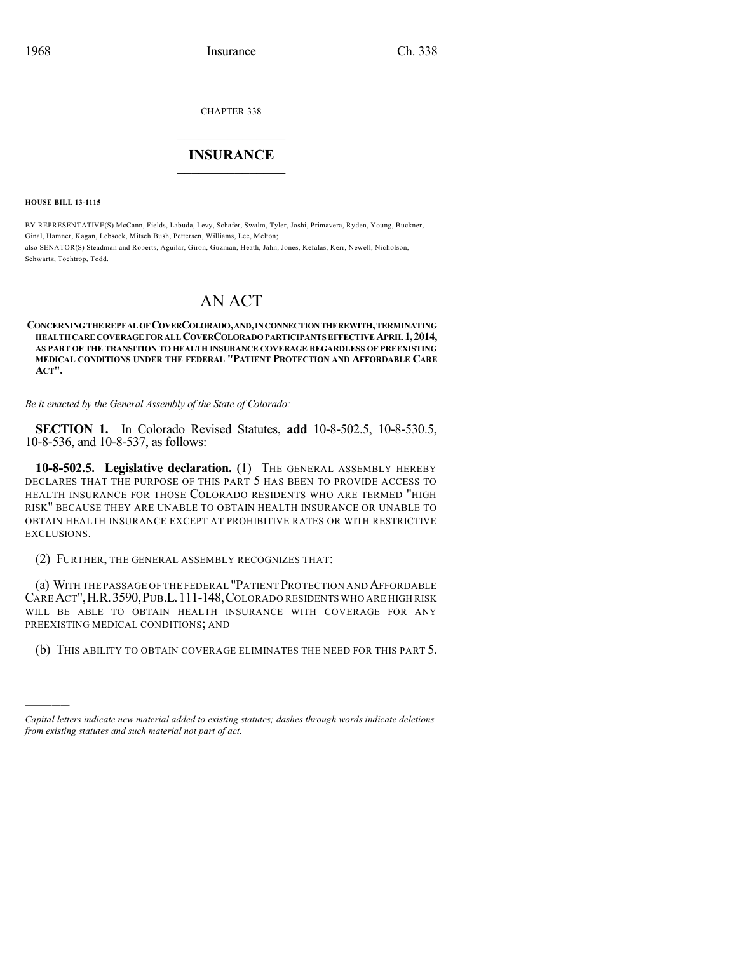CHAPTER 338

## $\overline{\phantom{a}}$  . The set of the set of the set of the set of the set of the set of the set of the set of the set of the set of the set of the set of the set of the set of the set of the set of the set of the set of the set o **INSURANCE**  $\frac{1}{2}$  ,  $\frac{1}{2}$  ,  $\frac{1}{2}$  ,  $\frac{1}{2}$  ,  $\frac{1}{2}$  ,  $\frac{1}{2}$  ,  $\frac{1}{2}$

**HOUSE BILL 13-1115**

)))))

BY REPRESENTATIVE(S) McCann, Fields, Labuda, Levy, Schafer, Swalm, Tyler, Joshi, Primavera, Ryden, Young, Buckner, Ginal, Hamner, Kagan, Lebsock, Mitsch Bush, Pettersen, Williams, Lee, Melton; also SENATOR(S) Steadman and Roberts, Aguilar, Giron, Guzman, Heath, Jahn, Jones, Kefalas, Kerr, Newell, Nicholson, Schwartz, Tochtrop, Todd.

# AN ACT

#### **CONCERNINGTHE REPEAL OFCOVERCOLORADO,AND,INCONNECTIONTHEREWITH,TERMINATING HEALTHCARE COVERAGE FOR ALLCOVERCOLORADOPARTICIPANTSEFFECTIVE APRIL1,2014, AS PART OF THE TRANSITION TO HEALTH INSURANCE COVERAGE REGARDLESS OF PREEXISTING MEDICAL CONDITIONS UNDER THE FEDERAL "PATIENT PROTECTION AND AFFORDABLE CARE ACT".**

*Be it enacted by the General Assembly of the State of Colorado:*

**SECTION 1.** In Colorado Revised Statutes, **add** 10-8-502.5, 10-8-530.5, 10-8-536, and 10-8-537, as follows:

**10-8-502.5. Legislative declaration.** (1) THE GENERAL ASSEMBLY HEREBY DECLARES THAT THE PURPOSE OF THIS PART 5 HAS BEEN TO PROVIDE ACCESS TO HEALTH INSURANCE FOR THOSE COLORADO RESIDENTS WHO ARE TERMED "HIGH RISK" BECAUSE THEY ARE UNABLE TO OBTAIN HEALTH INSURANCE OR UNABLE TO OBTAIN HEALTH INSURANCE EXCEPT AT PROHIBITIVE RATES OR WITH RESTRICTIVE EXCLUSIONS.

(2) FURTHER, THE GENERAL ASSEMBLY RECOGNIZES THAT:

(a) WITH THE PASSAGE OF THE FEDERAL "PATIENT PROTECTION AND AFFORDABLE CAREACT",H.R.3590,PUB.L.111-148,COLORADO RESIDENTS WHO ARE HIGH RISK WILL BE ABLE TO OBTAIN HEALTH INSURANCE WITH COVERAGE FOR ANY PREEXISTING MEDICAL CONDITIONS; AND

(b) THIS ABILITY TO OBTAIN COVERAGE ELIMINATES THE NEED FOR THIS PART 5.

*Capital letters indicate new material added to existing statutes; dashes through words indicate deletions from existing statutes and such material not part of act.*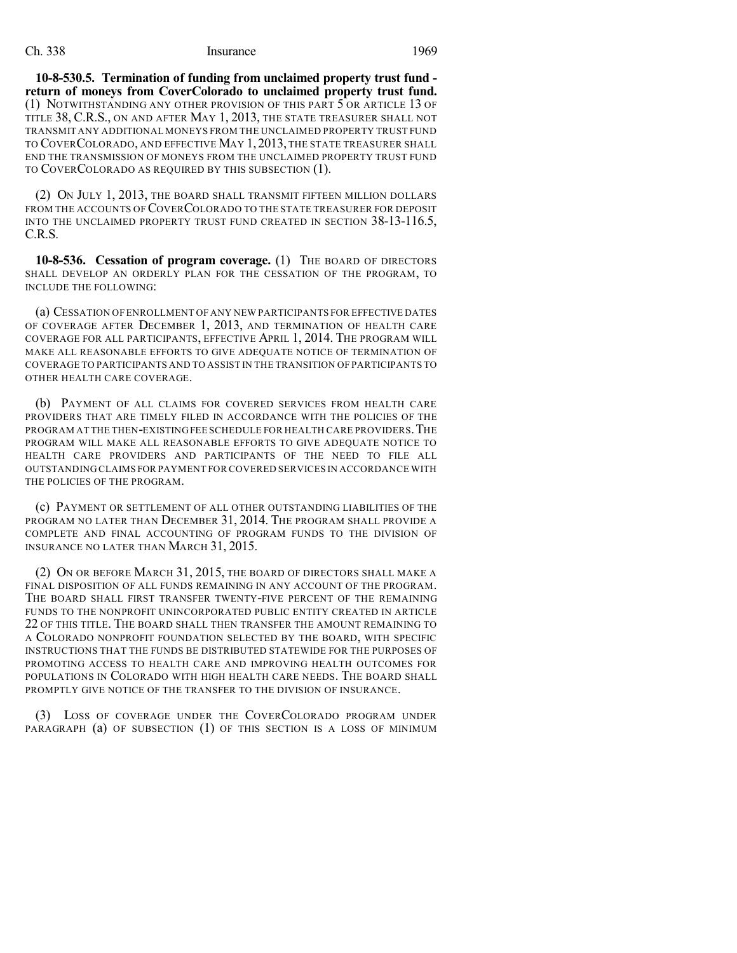#### Ch. 338 Insurance 1969

**10-8-530.5. Termination of funding from unclaimed property trust fund return of moneys from CoverColorado to unclaimed property trust fund.** (1) NOTWITHSTANDING ANY OTHER PROVISION OF THIS PART 5 OR ARTICLE 13 OF TITLE 38, C.R.S., ON AND AFTER MAY 1, 2013, THE STATE TREASURER SHALL NOT TRANSMIT ANY ADDITIONAL MONEYS FROM THE UNCLAIMED PROPERTY TRUST FUND TO COVERCOLORADO, AND EFFECTIVE MAY 1, 2013, THE STATE TREASURER SHALL END THE TRANSMISSION OF MONEYS FROM THE UNCLAIMED PROPERTY TRUST FUND TO COVERCOLORADO AS REQUIRED BY THIS SUBSECTION (1).

(2) ON JULY 1, 2013, THE BOARD SHALL TRANSMIT FIFTEEN MILLION DOLLARS FROM THE ACCOUNTS OF COVER COLORADO TO THE STATE TREASURER FOR DEPOSIT INTO THE UNCLAIMED PROPERTY TRUST FUND CREATED IN SECTION 38-13-116.5, C.R.S.

**10-8-536. Cessation of program coverage.** (1) THE BOARD OF DIRECTORS SHALL DEVELOP AN ORDERLY PLAN FOR THE CESSATION OF THE PROGRAM, TO INCLUDE THE FOLLOWING:

(a) CESSATION OF ENROLLMENT OF ANY NEW PARTICIPANTS FOR EFFECTIVE DATES OF COVERAGE AFTER DECEMBER 1, 2013, AND TERMINATION OF HEALTH CARE COVERAGE FOR ALL PARTICIPANTS, EFFECTIVE APRIL 1, 2014. THE PROGRAM WILL MAKE ALL REASONABLE EFFORTS TO GIVE ADEQUATE NOTICE OF TERMINATION OF COVERAGE TO PARTICIPANTS AND TO ASSIST IN THE TRANSITION OF PARTICIPANTS TO OTHER HEALTH CARE COVERAGE.

(b) PAYMENT OF ALL CLAIMS FOR COVERED SERVICES FROM HEALTH CARE PROVIDERS THAT ARE TIMELY FILED IN ACCORDANCE WITH THE POLICIES OF THE PROGRAM AT THE THEN-EXISTING FEE SCHEDULE FOR HEALTH CARE PROVIDERS.THE PROGRAM WILL MAKE ALL REASONABLE EFFORTS TO GIVE ADEQUATE NOTICE TO HEALTH CARE PROVIDERS AND PARTICIPANTS OF THE NEED TO FILE ALL OUTSTANDING CLAIMS FOR PAYMENT FOR COVERED SERVICES IN ACCORDANCE WITH THE POLICIES OF THE PROGRAM.

(c) PAYMENT OR SETTLEMENT OF ALL OTHER OUTSTANDING LIABILITIES OF THE PROGRAM NO LATER THAN DECEMBER 31, 2014. THE PROGRAM SHALL PROVIDE A COMPLETE AND FINAL ACCOUNTING OF PROGRAM FUNDS TO THE DIVISION OF INSURANCE NO LATER THAN MARCH 31, 2015.

(2) ON OR BEFORE MARCH 31, 2015, THE BOARD OF DIRECTORS SHALL MAKE A FINAL DISPOSITION OF ALL FUNDS REMAINING IN ANY ACCOUNT OF THE PROGRAM. THE BOARD SHALL FIRST TRANSFER TWENTY-FIVE PERCENT OF THE REMAINING FUNDS TO THE NONPROFIT UNINCORPORATED PUBLIC ENTITY CREATED IN ARTICLE 22 OF THIS TITLE. THE BOARD SHALL THEN TRANSFER THE AMOUNT REMAINING TO A COLORADO NONPROFIT FOUNDATION SELECTED BY THE BOARD, WITH SPECIFIC INSTRUCTIONS THAT THE FUNDS BE DISTRIBUTED STATEWIDE FOR THE PURPOSES OF PROMOTING ACCESS TO HEALTH CARE AND IMPROVING HEALTH OUTCOMES FOR POPULATIONS IN COLORADO WITH HIGH HEALTH CARE NEEDS. THE BOARD SHALL PROMPTLY GIVE NOTICE OF THE TRANSFER TO THE DIVISION OF INSURANCE.

(3) LOSS OF COVERAGE UNDER THE COVERCOLORADO PROGRAM UNDER PARAGRAPH (a) OF SUBSECTION (1) OF THIS SECTION IS A LOSS OF MINIMUM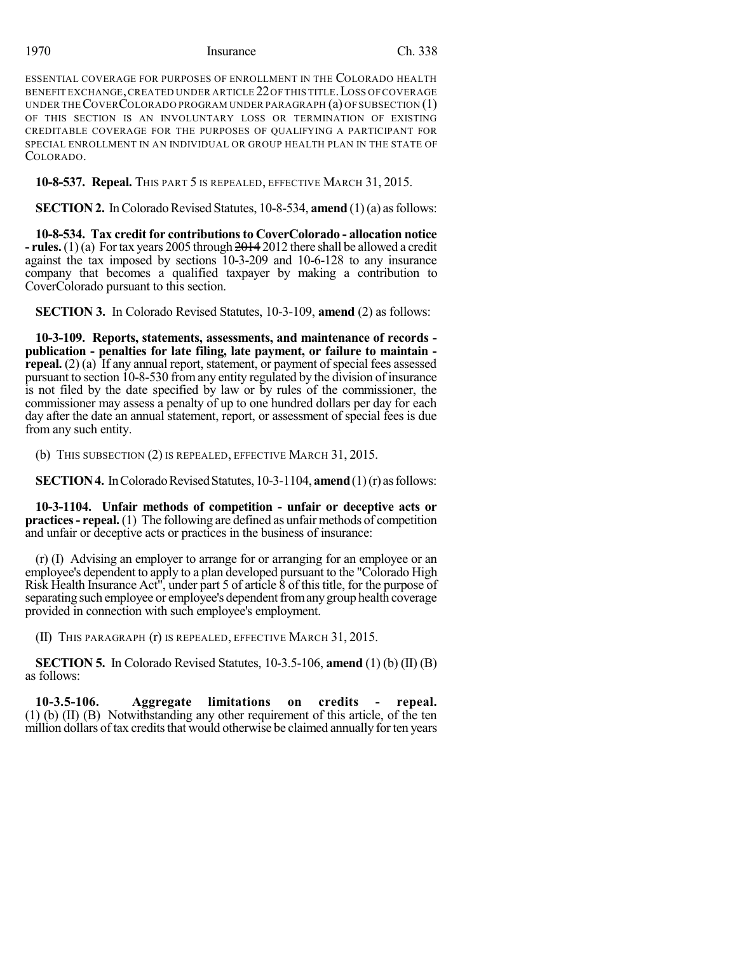### 1970 Insurance Ch. 338

ESSENTIAL COVERAGE FOR PURPOSES OF ENROLLMENT IN THE COLORADO HEALTH BENEFIT EXCHANGE,CREATED UNDER ARTICLE 22OF THIS TITLE.LOSS OF COVERAGE UNDER THE COVER COLORADO PROGRAM UNDER PARAGRAPH  $(a)$  OF SUBSECTION  $(1)$ OF THIS SECTION IS AN INVOLUNTARY LOSS OR TERMINATION OF EXISTING CREDITABLE COVERAGE FOR THE PURPOSES OF QUALIFYING A PARTICIPANT FOR SPECIAL ENROLLMENT IN AN INDIVIDUAL OR GROUP HEALTH PLAN IN THE STATE OF COLORADO.

**10-8-537. Repeal.** THIS PART 5 IS REPEALED, EFFECTIVE MARCH 31, 2015.

**SECTION 2.** In Colorado Revised Statutes, 10-8-534, **amend** (1)(a) as follows:

**10-8-534. Tax credit for contributionsto CoverColorado - allocation notice - rules.**(1)(a) Fortax years 2005 through 2014 2012 there shall be allowed a credit against the tax imposed by sections 10-3-209 and 10-6-128 to any insurance company that becomes a qualified taxpayer by making a contribution to CoverColorado pursuant to this section.

**SECTION 3.** In Colorado Revised Statutes, 10-3-109, **amend** (2) as follows:

**10-3-109. Reports, statements, assessments, and maintenance of records publication - penalties for late filing, late payment, or failure to maintain repeal.**  $(2)$  (a) If any annual report, statement, or payment of special fees assessed pursuant to section 10-8-530 fromany entity regulated by the division of insurance is not filed by the date specified by law or by rules of the commissioner, the commissioner may assess a penalty of up to one hundred dollars per day for each day after the date an annual statement, report, or assessment of special fees is due from any such entity.

(b) THIS SUBSECTION (2) IS REPEALED, EFFECTIVE MARCH 31, 2015.

**SECTION 4.** In Colorado Revised Statutes, 10-3-1104, **amend** (1)(r) as follows:

**10-3-1104. Unfair methods of competition - unfair or deceptive acts or practices- repeal.** (1) The following are defined as unfair methods of competition and unfair or deceptive acts or practices in the business of insurance:

(r) (I) Advising an employer to arrange for or arranging for an employee or an employee's dependent to apply to a plan developed pursuant to the "Colorado High Risk Health Insurance Act<sup>"</sup>, under part 5 of article  $\delta$  of this title, for the purpose of separating such employee or employee's dependent from any group health coverage provided in connection with such employee's employment.

(II) THIS PARAGRAPH (r) IS REPEALED, EFFECTIVE MARCH 31, 2015.

**SECTION 5.** In Colorado Revised Statutes, 10-3.5-106, **amend** (1) (b) (II) (B) as follows:

**10-3.5-106. Aggregate limitations on credits - repeal.** (1) (b) (II) (B) Notwithstanding any other requirement of this article, of the ten million dollars of tax credits that would otherwise be claimed annually for ten years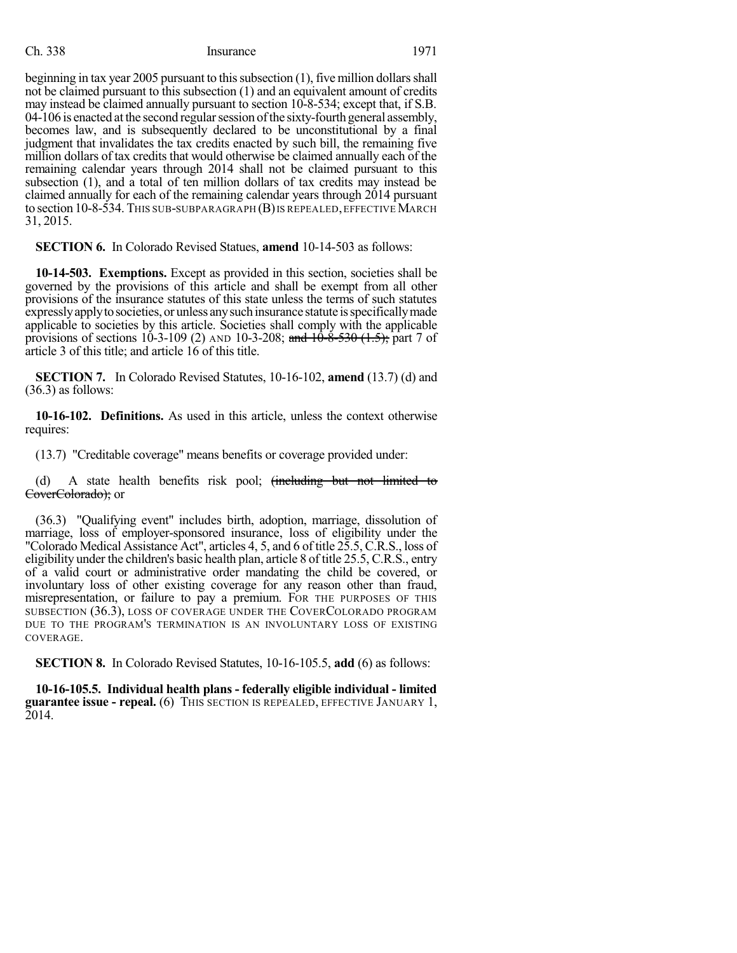### Ch. 338 Insurance 1971

beginning in tax year 2005 pursuant to this subsection  $(1)$ , five million dollars shall not be claimed pursuant to this subsection (1) and an equivalent amount of credits may instead be claimed annually pursuant to section 10-8-534; except that, if S.B. 04-106 is enacted at the second regular session of the sixty-fourth general assembly, becomes law, and is subsequently declared to be unconstitutional by a final judgment that invalidates the tax credits enacted by such bill, the remaining five million dollars of tax credits that would otherwise be claimed annually each of the remaining calendar years through 2014 shall not be claimed pursuant to this subsection (1), and a total of ten million dollars of tax credits may instead be claimed annually for each of the remaining calendar years through 2014 pursuant to section 10-8-534. This sub-subparagraph (B) is repealed, effective March 31, 2015.

**SECTION 6.** In Colorado Revised Statues, **amend** 10-14-503 as follows:

**10-14-503. Exemptions.** Except as provided in this section, societies shall be governed by the provisions of this article and shall be exempt from all other provisions of the insurance statutes of this state unless the terms of such statutes expresslyapplytosocieties, or unless anysuchinsurance statute isspecificallymade applicable to societies by this article. Societies shall comply with the applicable provisions of sections 10-3-109 (2) AND 10-3-208; and  $10-\frac{3}{2}$  +  $\frac{3}{2}$  +  $\frac{1}{2}$  +  $\frac{1}{2}$  +  $\frac{1}{2}$  +  $\frac{1}{2}$  +  $\frac{1}{2}$  +  $\frac{1}{2}$  +  $\frac{1}{2}$  +  $\frac{1}{2}$  +  $\frac{1}{2}$  +  $\frac{1}{2}$  +  $\frac{1}{2}$  +  $\frac{1}{2}$ article 3 of this title; and article 16 of this title.

**SECTION 7.** In Colorado Revised Statutes, 10-16-102, **amend** (13.7) (d) and (36.3) as follows:

**10-16-102. Definitions.** As used in this article, unless the context otherwise requires:

(13.7) "Creditable coverage" means benefits or coverage provided under:

(d) A state health benefits risk pool; (including but not limited to CoverColorado); or

(36.3) "Qualifying event" includes birth, adoption, marriage, dissolution of marriage, loss of employer-sponsored insurance, loss of eligibility under the "Colorado Medical Assistance Act", articles 4, 5, and 6 of title 25.5, C.R.S., loss of eligibility under the children's basic health plan, article 8 of title 25.5, C.R.S., entry of a valid court or administrative order mandating the child be covered, or involuntary loss of other existing coverage for any reason other than fraud, misrepresentation, or failure to pay a premium. FOR THE PURPOSES OF THIS SUBSECTION (36.3), LOSS OF COVERAGE UNDER THE COVERCOLORADO PROGRAM DUE TO THE PROGRAM'S TERMINATION IS AN INVOLUNTARY LOSS OF EXISTING COVERAGE.

**SECTION 8.** In Colorado Revised Statutes, 10-16-105.5, **add** (6) as follows:

**10-16-105.5. Individual health plans - federally eligible individual - limited guarantee issue - repeal.** (6) THIS SECTION IS REPEALED, EFFECTIVE JANUARY 1, 2014.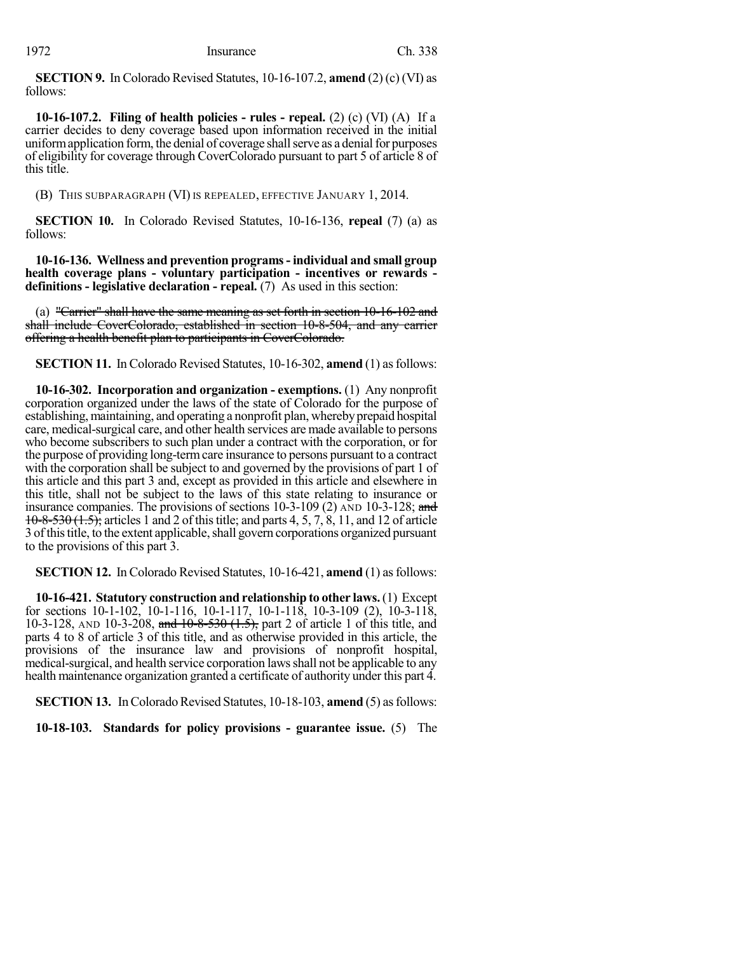**SECTION 9.** In Colorado Revised Statutes, 10-16-107.2, **amend** (2) (c) (VI) as follows:

**10-16-107.2. Filing of health policies - rules - repeal.** (2) (c) (VI) (A) If a carrier decides to deny coverage based upon information received in the initial uniform application form, the denial of coverage shall serve as a denial for purposes of eligibility for coverage through CoverColorado pursuant to part 5 of article 8 of this title.

(B) THIS SUBPARAGRAPH (VI) IS REPEALED, EFFECTIVE JANUARY 1, 2014.

**SECTION 10.** In Colorado Revised Statutes, 10-16-136, **repeal** (7) (a) as follows:

**10-16-136. Wellness and prevention programs- individual and small group health coverage plans - voluntary participation - incentives or rewards definitions - legislative declaration - repeal.** (7) As used in this section:

(a) "Carrier" shall have the same meaning as set forth in section 10-16-102 and shall include CoverColorado, established in section 10-8-504, and any carrier offering a health benefit plan to participants in CoverColorado.

**SECTION 11.** In Colorado Revised Statutes, 10-16-302, **amend** (1) as follows:

**10-16-302. Incorporation and organization - exemptions.** (1) Any nonprofit corporation organized under the laws of the state of Colorado for the purpose of establishing, maintaining, and operating a nonprofit plan, whereby prepaid hospital care, medical-surgical care, and other health services are made available to persons who become subscribers to such plan under a contract with the corporation, or for the purpose of providing long-termcare insurance to persons pursuant to a contract with the corporation shall be subject to and governed by the provisions of part 1 of this article and this part 3 and, except as provided in this article and elsewhere in this title, shall not be subject to the laws of this state relating to insurance or insurance companies. The provisions of sections  $10-3-109$  (2) AND  $10-3-128$ ; and  $10-8-530(1.5)$ ; articles 1 and 2 of this title; and parts 4, 5, 7, 8, 11, and 12 of article 3 of this title, to the extent applicable, shall govern corporations organized pursuant to the provisions of this part 3.

**SECTION 12.** In Colorado Revised Statutes, 10-16-421, **amend** (1) as follows:

**10-16-421. Statutory construction and relationship to other laws.**(1) Except for sections 10-1-102, 10-1-116, 10-1-117, 10-1-118, 10-3-109 (2), 10-3-118, 10-3-128, AND 10-3-208, and  $10-8-530$   $(1.5)$ , part 2 of article 1 of this title, and parts 4 to 8 of article 3 of this title, and as otherwise provided in this article, the provisions of the insurance law and provisions of nonprofit hospital, medical-surgical, and health service corporation lawsshall not be applicable to any health maintenance organization granted a certificate of authority under this part 4.

**SECTION 13.** In Colorado Revised Statutes, 10-18-103, **amend** (5) as follows:

**10-18-103. Standards for policy provisions - guarantee issue.** (5) The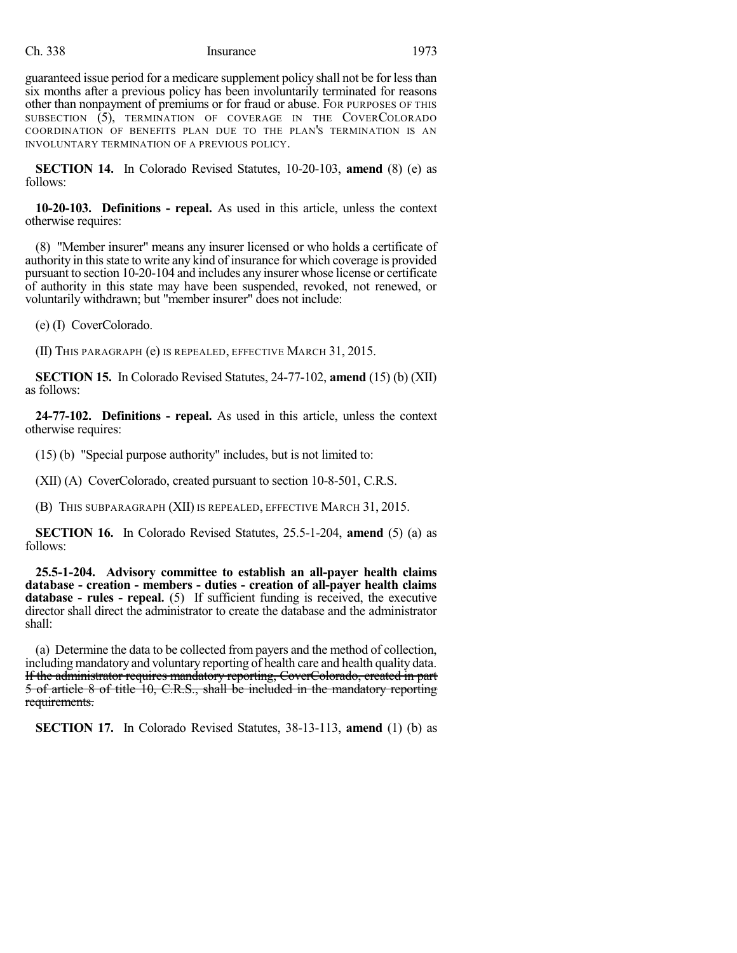#### Ch. 338 Insurance 1973

guaranteed issue period for a medicare supplement policy shall not be for lessthan six months after a previous policy has been involuntarily terminated for reasons other than nonpayment of premiums or for fraud or abuse. FOR PURPOSES OF THIS SUBSECTION (5), TERMINATION OF COVERAGE IN THE COVERCOLORADO COORDINATION OF BENEFITS PLAN DUE TO THE PLAN'S TERMINATION IS AN INVOLUNTARY TERMINATION OF A PREVIOUS POLICY.

**SECTION 14.** In Colorado Revised Statutes, 10-20-103, **amend** (8) (e) as follows:

**10-20-103. Definitions - repeal.** As used in this article, unless the context otherwise requires:

(8) "Member insurer" means any insurer licensed or who holds a certificate of authority in thisstate to write any kind of insurance for which coverage is provided pursuant to section 10-20-104 and includes any insurer whose license or certificate of authority in this state may have been suspended, revoked, not renewed, or voluntarily withdrawn; but "member insurer" does not include:

(e) (I) CoverColorado.

(II) THIS PARAGRAPH (e) IS REPEALED, EFFECTIVE MARCH 31, 2015.

**SECTION 15.** In Colorado Revised Statutes, 24-77-102, **amend** (15) (b) (XII) as follows:

**24-77-102. Definitions - repeal.** As used in this article, unless the context otherwise requires:

(15) (b) "Special purpose authority" includes, but is not limited to:

(XII) (A) CoverColorado, created pursuant to section 10-8-501, C.R.S.

(B) THIS SUBPARAGRAPH (XII) IS REPEALED, EFFECTIVE MARCH 31, 2015.

**SECTION 16.** In Colorado Revised Statutes, 25.5-1-204, **amend** (5) (a) as follows:

**25.5-1-204. Advisory committee to establish an all-payer health claims database - creation - members - duties - creation of all-payer health claims database - rules - repeal.** (5) If sufficient funding is received, the executive director shall direct the administrator to create the database and the administrator shall:

(a) Determine the data to be collected from payers and the method of collection, including mandatory and voluntary reporting of health care and health quality data. If the administrator requires mandatory reporting, CoverColorado, created in part 5 of article 8 of title 10, C.R.S., shall be included in the mandatory reporting requirements.

**SECTION 17.** In Colorado Revised Statutes, 38-13-113, **amend** (1) (b) as